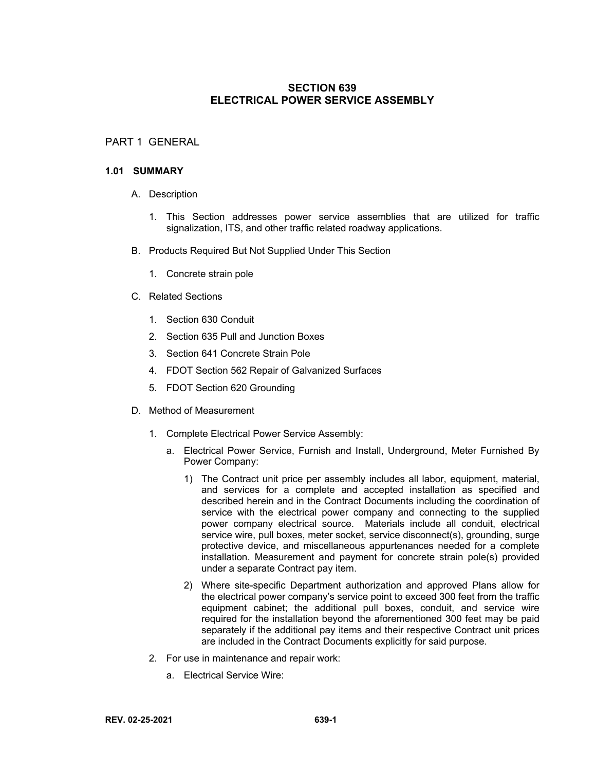# **SECTION 639 ELECTRICAL POWER SERVICE ASSEMBLY**

## PART 1 GENERAL

#### **1.01 SUMMARY**

- A. Description
	- 1. This Section addresses power service assemblies that are utilized for traffic signalization, ITS, and other traffic related roadway applications.
- B. Products Required But Not Supplied Under This Section
	- 1. Concrete strain pole
- C. Related Sections
	- 1. Section 630 Conduit
	- 2. Section 635 Pull and Junction Boxes
	- 3. Section 641 Concrete Strain Pole
	- 4. FDOT Section 562 Repair of Galvanized Surfaces
	- 5. FDOT Section 620 Grounding
- D. Method of Measurement
	- 1. Complete Electrical Power Service Assembly:
		- a. Electrical Power Service, Furnish and Install, Underground, Meter Furnished By Power Company:
			- 1) The Contract unit price per assembly includes all labor, equipment, material, and services for a complete and accepted installation as specified and described herein and in the Contract Documents including the coordination of service with the electrical power company and connecting to the supplied power company electrical source. Materials include all conduit, electrical service wire, pull boxes, meter socket, service disconnect(s), grounding, surge protective device, and miscellaneous appurtenances needed for a complete installation. Measurement and payment for concrete strain pole(s) provided under a separate Contract pay item.
			- 2) Where site-specific Department authorization and approved Plans allow for the electrical power company's service point to exceed 300 feet from the traffic equipment cabinet; the additional pull boxes, conduit, and service wire required for the installation beyond the aforementioned 300 feet may be paid separately if the additional pay items and their respective Contract unit prices are included in the Contract Documents explicitly for said purpose.
	- 2. For use in maintenance and repair work:
		- a. Electrical Service Wire: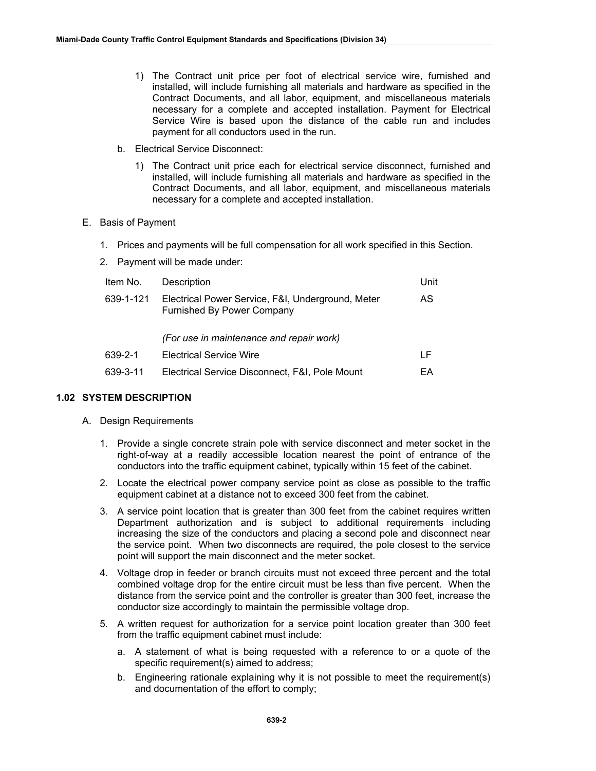- 1) The Contract unit price per foot of electrical service wire, furnished and installed, will include furnishing all materials and hardware as specified in the Contract Documents, and all labor, equipment, and miscellaneous materials necessary for a complete and accepted installation. Payment for Electrical Service Wire is based upon the distance of the cable run and includes payment for all conductors used in the run.
- b. Electrical Service Disconnect:
	- 1) The Contract unit price each for electrical service disconnect, furnished and installed, will include furnishing all materials and hardware as specified in the Contract Documents, and all labor, equipment, and miscellaneous materials necessary for a complete and accepted installation.
- E. Basis of Payment
	- 1. Prices and payments will be full compensation for all work specified in this Section.

| 2.        | Payment will be made under:                                                            |      |
|-----------|----------------------------------------------------------------------------------------|------|
| Item No.  | Description                                                                            | Unit |
| 639-1-121 | Electrical Power Service, F&I, Underground, Meter<br><b>Furnished By Power Company</b> | AS   |
|           | (For use in maintenance and repair work)                                               |      |
| 639-2-1   | <b>Electrical Service Wire</b>                                                         | ΙF   |
| 639-3-11  | Electrical Service Disconnect, F&I, Pole Mount                                         | FА   |

## **1.02 SYSTEM DESCRIPTION**

- A. Design Requirements
	- 1. Provide a single concrete strain pole with service disconnect and meter socket in the right-of-way at a readily accessible location nearest the point of entrance of the conductors into the traffic equipment cabinet, typically within 15 feet of the cabinet.
	- 2. Locate the electrical power company service point as close as possible to the traffic equipment cabinet at a distance not to exceed 300 feet from the cabinet.
	- 3. A service point location that is greater than 300 feet from the cabinet requires written Department authorization and is subject to additional requirements including increasing the size of the conductors and placing a second pole and disconnect near the service point. When two disconnects are required, the pole closest to the service point will support the main disconnect and the meter socket.
	- 4. Voltage drop in feeder or branch circuits must not exceed three percent and the total combined voltage drop for the entire circuit must be less than five percent. When the distance from the service point and the controller is greater than 300 feet, increase the conductor size accordingly to maintain the permissible voltage drop.
	- 5. A written request for authorization for a service point location greater than 300 feet from the traffic equipment cabinet must include:
		- a. A statement of what is being requested with a reference to or a quote of the specific requirement(s) aimed to address;
		- b. Engineering rationale explaining why it is not possible to meet the requirement(s) and documentation of the effort to comply;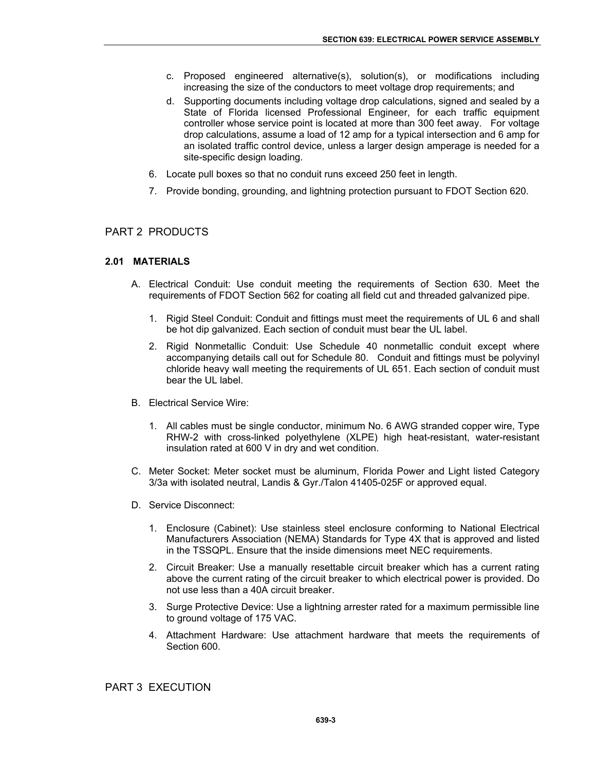- c. Proposed engineered alternative(s), solution(s), or modifications including increasing the size of the conductors to meet voltage drop requirements; and
- d. Supporting documents including voltage drop calculations, signed and sealed by a State of Florida licensed Professional Engineer, for each traffic equipment controller whose service point is located at more than 300 feet away. For voltage drop calculations, assume a load of 12 amp for a typical intersection and 6 amp for an isolated traffic control device, unless a larger design amperage is needed for a site-specific design loading.
- 6. Locate pull boxes so that no conduit runs exceed 250 feet in length.
- 7. Provide bonding, grounding, and lightning protection pursuant to FDOT Section 620.

# PART 2 PRODUCTS

#### **2.01 MATERIALS**

- A. Electrical Conduit: Use conduit meeting the requirements of Section 630. Meet the requirements of FDOT Section 562 for coating all field cut and threaded galvanized pipe.
	- 1. Rigid Steel Conduit: Conduit and fittings must meet the requirements of UL 6 and shall be hot dip galvanized. Each section of conduit must bear the UL label.
	- 2. Rigid Nonmetallic Conduit: Use Schedule 40 nonmetallic conduit except where accompanying details call out for Schedule 80. Conduit and fittings must be polyvinyl chloride heavy wall meeting the requirements of UL 651. Each section of conduit must bear the UL label.
- B. Electrical Service Wire:
	- 1. All cables must be single conductor, minimum No. 6 AWG stranded copper wire, Type RHW-2 with cross-linked polyethylene (XLPE) high heat-resistant, water-resistant insulation rated at 600 V in dry and wet condition.
- C. Meter Socket: Meter socket must be aluminum, Florida Power and Light listed Category 3/3a with isolated neutral, Landis & Gyr./Talon 41405-025F or approved equal.
- D. Service Disconnect:
	- 1. Enclosure (Cabinet): Use stainless steel enclosure conforming to National Electrical Manufacturers Association (NEMA) Standards for Type 4X that is approved and listed in the TSSQPL. Ensure that the inside dimensions meet NEC requirements.
	- 2. Circuit Breaker: Use a manually resettable circuit breaker which has a current rating above the current rating of the circuit breaker to which electrical power is provided. Do not use less than a 40A circuit breaker.
	- 3. Surge Protective Device: Use a lightning arrester rated for a maximum permissible line to ground voltage of 175 VAC.
	- 4. Attachment Hardware: Use attachment hardware that meets the requirements of Section 600.

PART 3 EXECUTION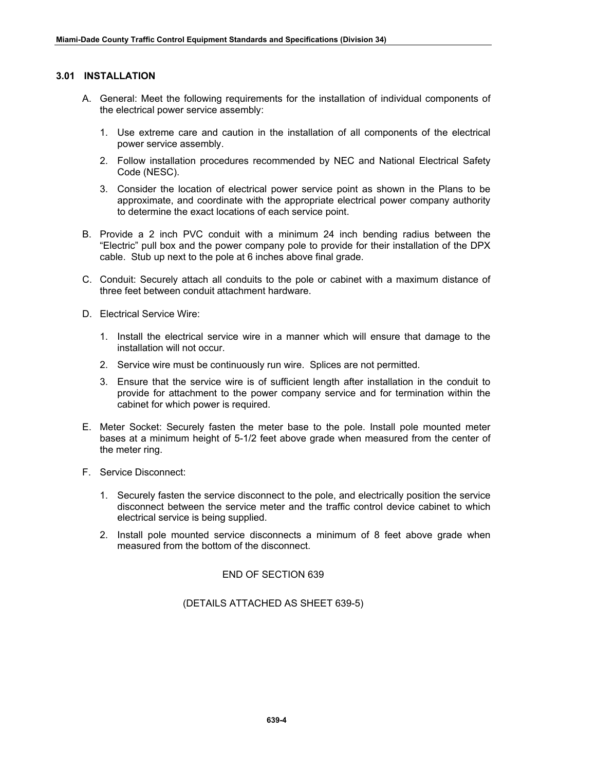## **3.01 INSTALLATION**

- A. General: Meet the following requirements for the installation of individual components of the electrical power service assembly:
	- 1. Use extreme care and caution in the installation of all components of the electrical power service assembly.
	- 2. Follow installation procedures recommended by NEC and National Electrical Safety Code (NESC).
	- 3. Consider the location of electrical power service point as shown in the Plans to be approximate, and coordinate with the appropriate electrical power company authority to determine the exact locations of each service point.
- B. Provide a 2 inch PVC conduit with a minimum 24 inch bending radius between the "Electric" pull box and the power company pole to provide for their installation of the DPX cable. Stub up next to the pole at 6 inches above final grade.
- C. Conduit: Securely attach all conduits to the pole or cabinet with a maximum distance of three feet between conduit attachment hardware.
- D. Electrical Service Wire:
	- 1. Install the electrical service wire in a manner which will ensure that damage to the installation will not occur.
	- 2. Service wire must be continuously run wire. Splices are not permitted.
	- 3. Ensure that the service wire is of sufficient length after installation in the conduit to provide for attachment to the power company service and for termination within the cabinet for which power is required.
- E. Meter Socket: Securely fasten the meter base to the pole. Install pole mounted meter bases at a minimum height of 5-1/2 feet above grade when measured from the center of the meter ring.
- F. Service Disconnect:
	- 1. Securely fasten the service disconnect to the pole, and electrically position the service disconnect between the service meter and the traffic control device cabinet to which electrical service is being supplied.
	- 2. Install pole mounted service disconnects a minimum of 8 feet above grade when measured from the bottom of the disconnect.

# END OF SECTION 639

(DETAILS ATTACHED AS SHEET 639-5)